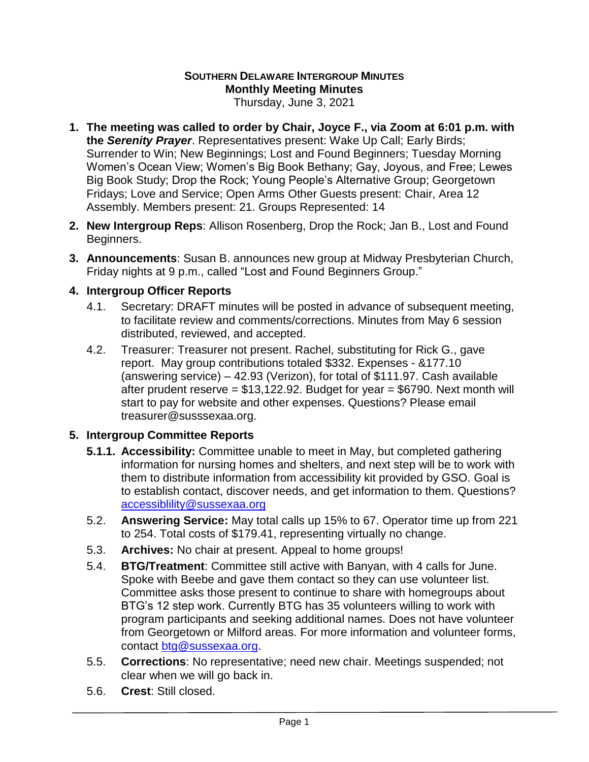# **SOUTHERN DELAWARE INTERGROUP MINUTES Monthly Meeting Minutes**

Thursday, June 3, 2021

- **1. The meeting was called to order by Chair, Joyce F., via Zoom at 6:01 p.m. with the** *Serenity Prayer*. Representatives present: Wake Up Call; Early Birds; Surrender to Win; New Beginnings; Lost and Found Beginners; Tuesday Morning Women's Ocean View; Women's Big Book Bethany; Gay, Joyous, and Free; Lewes Big Book Study; Drop the Rock; Young People's Alternative Group; Georgetown Fridays; Love and Service; Open Arms Other Guests present: Chair, Area 12 Assembly. Members present: 21. Groups Represented: 14
- **2. New Intergroup Reps**: Allison Rosenberg, Drop the Rock; Jan B., Lost and Found Beginners.
- **3. Announcements**: Susan B. announces new group at Midway Presbyterian Church, Friday nights at 9 p.m., called "Lost and Found Beginners Group."

# **4. Intergroup Officer Reports**

- 4.1. Secretary: DRAFT minutes will be posted in advance of subsequent meeting, to facilitate review and comments/corrections. Minutes from May 6 session distributed, reviewed, and accepted.
- 4.2. Treasurer: Treasurer not present. Rachel, substituting for Rick G., gave report. May group contributions totaled \$332. Expenses - &177.10 (answering service) – 42.93 (Verizon), for total of \$111.97. Cash available after prudent reserve =  $$13,122.92$ . Budget for year =  $$6790$ . Next month will start to pay for website and other expenses. Questions? Please email treasurer@susssexaa.org.

# **5. Intergroup Committee Reports**

- **5.1.1. Accessibility:** Committee unable to meet in May, but completed gathering information for nursing homes and shelters, and next step will be to work with them to distribute information from accessibility kit provided by GSO. Goal is to establish contact, discover needs, and get information to them. Questions? [accessiblility@sussexaa.org](mailto:accessiblility@sussexaa.org)
- 5.2. **Answering Service:** May total calls up 15% to 67. Operator time up from 221 to 254. Total costs of \$179.41, representing virtually no change.
- 5.3. **Archives:** No chair at present. Appeal to home groups!
- 5.4. **BTG/Treatment**: Committee still active with Banyan, with 4 calls for June. Spoke with Beebe and gave them contact so they can use volunteer list. Committee asks those present to continue to share with homegroups about BTG's 12 step work. Currently BTG has 35 volunteers willing to work with program participants and seeking additional names. Does not have volunteer from Georgetown or Milford areas. For more information and volunteer forms, contact [btg@sussexaa.org.](mailto:btg@sussexaa.org)
- 5.5. **Corrections**: No representative; need new chair. Meetings suspended; not clear when we will go back in.
- 5.6. **Crest**: Still closed.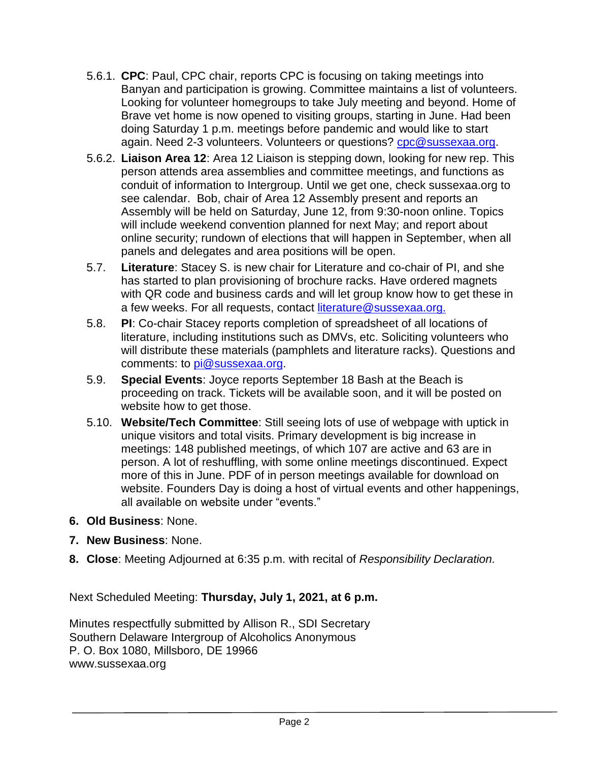- 5.6.1. **CPC**: Paul, CPC chair, reports CPC is focusing on taking meetings into Banyan and participation is growing. Committee maintains a list of volunteers. Looking for volunteer homegroups to take July meeting and beyond. Home of Brave vet home is now opened to visiting groups, starting in June. Had been doing Saturday 1 p.m. meetings before pandemic and would like to start again. Need 2-3 volunteers. Volunteers or questions? [cpc@sussexaa.org.](mailto:cpc@sussexaa.org)
- 5.6.2. **Liaison Area 12**: Area 12 Liaison is stepping down, looking for new rep. This person attends area assemblies and committee meetings, and functions as conduit of information to Intergroup. Until we get one, check sussexaa.org to see calendar. Bob, chair of Area 12 Assembly present and reports an Assembly will be held on Saturday, June 12, from 9:30-noon online. Topics will include weekend convention planned for next May; and report about online security; rundown of elections that will happen in September, when all panels and delegates and area positions will be open.
- 5.7. **Literature**: Stacey S. is new chair for Literature and co-chair of PI, and she has started to plan provisioning of brochure racks. Have ordered magnets with QR code and business cards and will let group know how to get these in a few weeks. For all requests, contact literature@sussexaa.org.
- 5.8. **PI**: Co-chair Stacey reports completion of spreadsheet of all locations of literature, including institutions such as DMVs, etc. Soliciting volunteers who will distribute these materials (pamphlets and literature racks). Questions and comments: to [pi@sussexaa.org.](mailto:pi@sussexaa.org)
- 5.9. **Special Events**: Joyce reports September 18 Bash at the Beach is proceeding on track. Tickets will be available soon, and it will be posted on website how to get those.
- 5.10. **Website/Tech Committee**: Still seeing lots of use of webpage with uptick in unique visitors and total visits. Primary development is big increase in meetings: 148 published meetings, of which 107 are active and 63 are in person. A lot of reshuffling, with some online meetings discontinued. Expect more of this in June. PDF of in person meetings available for download on website. Founders Day is doing a host of virtual events and other happenings, all available on website under "events."
- **6. Old Business**: None.
- **7. New Business**: None.
- **8. Close**: Meeting Adjourned at 6:35 p.m. with recital of *Responsibility Declaration.*

Next Scheduled Meeting: **Thursday, July 1, 2021, at 6 p.m.**

Minutes respectfully submitted by Allison R., SDI Secretary Southern Delaware Intergroup of Alcoholics Anonymous P. O. Box 1080, Millsboro, DE 19966 www.sussexaa.org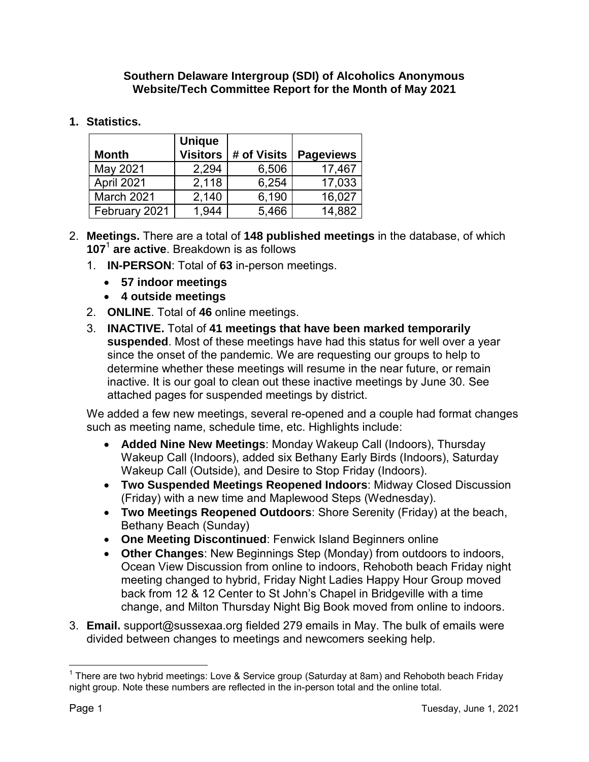#### **Southern Delaware Intergroup (SDI) of Alcoholics Anonymous Website/Tech Committee Report for the Month of May 2021**

## **1. Statistics.**

| <b>Month</b>  | <b>Unique</b><br><b>Visitors</b> | # of Visits | <b>Pageviews</b> |
|---------------|----------------------------------|-------------|------------------|
| May 2021      | 2,294                            | 6,506       | 17,467           |
| April 2021    | 2,118                            | 6,254       | 17,033           |
| March 2021    | 2,140                            | 6,190       | 16,027           |
| February 2021 | 1,944                            | 5,466       | 14,882           |

- 2. **Meetings.** There are a total of **148 published meetings** in the database, of which **107** 1 **are active**. Breakdown is as follows
	- 1. **IN-PERSON**: Total of **63** in-person meetings.
		- **57 indoor meetings**
		- **4 outside meetings**
	- 2. **ONLINE**. Total of **46** online meetings.
	- 3. **INACTIVE.** Total of **41 meetings that have been marked temporarily suspended**. Most of these meetings have had this status for well over a year since the onset of the pandemic. We are requesting our groups to help to determine whether these meetings will resume in the near future, or remain inactive. It is our goal to clean out these inactive meetings by June 30. See attached pages for suspended meetings by district.

We added a few new meetings, several re-opened and a couple had format changes such as meeting name, schedule time, etc. Highlights include:

- **Added Nine New Meetings**: Monday Wakeup Call (Indoors), Thursday Wakeup Call (Indoors), added six Bethany Early Birds (Indoors), Saturday Wakeup Call (Outside), and Desire to Stop Friday (Indoors).
- **Two Suspended Meetings Reopened Indoors**: Midway Closed Discussion (Friday) with a new time and Maplewood Steps (Wednesday).
- **Two Meetings Reopened Outdoors**: Shore Serenity (Friday) at the beach, Bethany Beach (Sunday)
- **One Meeting Discontinued**: Fenwick Island Beginners online
- **Other Changes**: New Beginnings Step (Monday) from outdoors to indoors, Ocean View Discussion from online to indoors, Rehoboth beach Friday night meeting changed to hybrid, Friday Night Ladies Happy Hour Group moved back from 12 & 12 Center to St John's Chapel in Bridgeville with a time change, and Milton Thursday Night Big Book moved from online to indoors.
- 3. **Email.** support@sussexaa.org fielded 279 emails in May. The bulk of emails were divided between changes to meetings and newcomers seeking help.

 1 There are two hybrid meetings: Love & Service group (Saturday at 8am) and Rehoboth beach Friday night group. Note these numbers are reflected in the in-person total and the online total.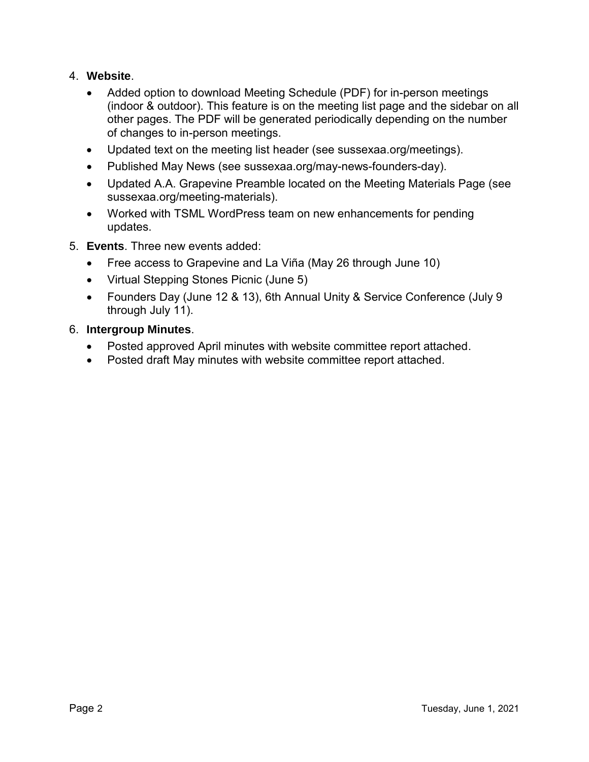## 4. **Website**.

- Added option to download Meeting Schedule (PDF) for in-person meetings (indoor & outdoor). This feature is on the meeting list page and the sidebar on all other pages. The PDF will be generated periodically depending on the number of changes to in-person meetings.
- Updated text on the meeting list header (see sussexaa.org/meetings).
- Published May News (see sussexaa.org/may-news-founders-day).
- Updated A.A. Grapevine Preamble located on the Meeting Materials Page (see sussexaa.org/meeting-materials).
- Worked with TSML WordPress team on new enhancements for pending updates.
- 5. **Events**. Three new events added:
	- Free access to Grapevine and La Viña (May 26 through June 10)
	- Virtual Stepping Stones Picnic (June 5)
	- Founders Day (June 12 & 13), 6th Annual Unity & Service Conference (July 9 through July 11).

### 6. **Intergroup Minutes**.

- Posted approved April minutes with website committee report attached.
- Posted draft May minutes with website committee report attached.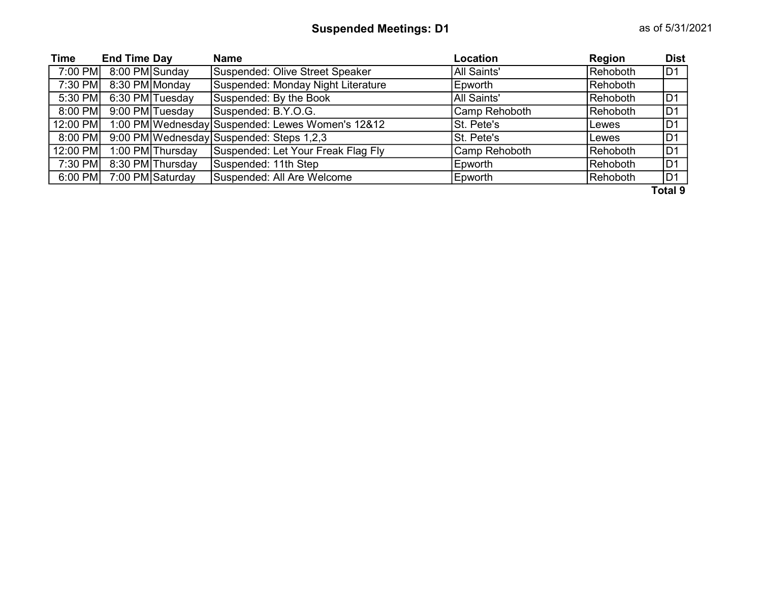| <b>Time</b> | <b>End Time Day</b> |                  | <b>Name</b>                                      | Location      | <b>Region</b> | <b>Dist</b>    |
|-------------|---------------------|------------------|--------------------------------------------------|---------------|---------------|----------------|
| 7:00 PM     | 8:00 PM Sunday      |                  | Suspended: Olive Street Speaker                  | All Saints'   | Rehoboth      | D1             |
| 7:30 PM     | 8:30 PM Monday      |                  | Suspended: Monday Night Literature               | Epworth       | Rehoboth      |                |
| 5:30 PM     |                     | 6:30 PM Tuesday  | Suspended: By the Book                           | All Saints'   | Rehoboth      | D <sub>1</sub> |
| $8:00$ PM   |                     | 9:00 PM Tuesday  | Suspended: B.Y.O.G.                              | Camp Rehoboth | Rehoboth      | D <sub>1</sub> |
| 12:00 PM    |                     |                  | 1:00 PM Wednesday Suspended: Lewes Women's 12&12 | St. Pete's    | Lewes         | D <sub>1</sub> |
| 8:00 PM     |                     |                  | 9:00 PM Wednesday Suspended: Steps 1,2,3         | St. Pete's    | Lewes         | D <sub>1</sub> |
| 12:00 PM    |                     | 1:00 PM Thursday | Suspended: Let Your Freak Flag Fly               | Camp Rehoboth | Rehoboth      | D <sub>1</sub> |
| 7:30 PM     |                     | 8:30 PM Thursday | Suspended: 11th Step                             | Epworth       | Rehoboth      | D <sub>1</sub> |
| $6:00$ PM   |                     | 7:00 PM Saturday | Suspended: All Are Welcome                       | Epworth       | Rehoboth      | D <sub>1</sub> |
|             |                     |                  |                                                  |               |               | $T - 1 - 1$    |

Total 9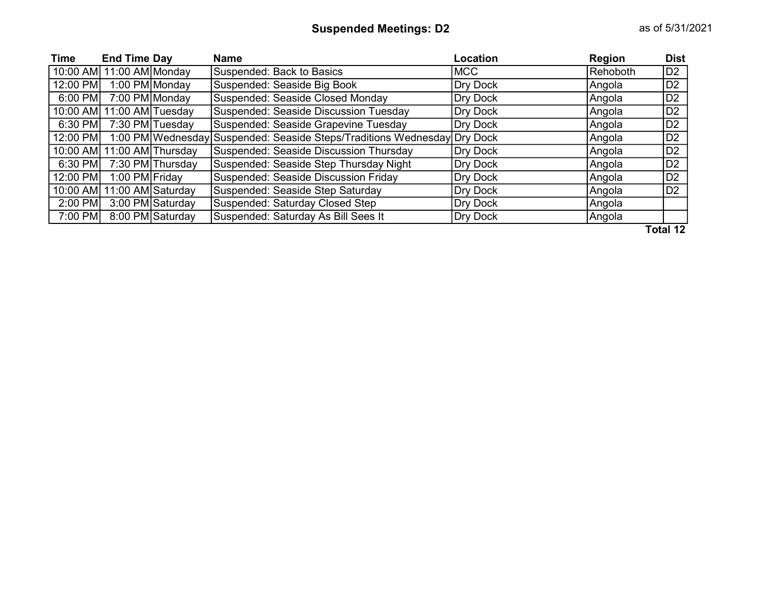| Time      | <b>End Time Day</b>        |                  | <b>Name</b>                                                              | Location        | Region   | <b>Dist</b>    |
|-----------|----------------------------|------------------|--------------------------------------------------------------------------|-----------------|----------|----------------|
|           | 10:00 AM 11:00 AM Monday   |                  | Suspended: Back to Basics                                                | <b>MCC</b>      | Rehoboth | D <sub>2</sub> |
| 12:00 PM  |                            | 1:00 PM Monday   | Suspended: Seaside Big Book                                              | Dry Dock        | Angola   | D <sub>2</sub> |
| $6:00$ PM | 7:00 PM Monday             |                  | Suspended: Seaside Closed Monday                                         | <b>Dry Dock</b> | Angola   | D <sub>2</sub> |
|           | 10:00 AM 11:00 AM Tuesday  |                  | Suspended: Seaside Discussion Tuesday                                    | Dry Dock        | Angola   | D <sub>2</sub> |
| $6:30$ PM |                            | 7:30 PM Tuesday  | Suspended: Seaside Grapevine Tuesday                                     | <b>Dry Dock</b> | Angola   | D <sub>2</sub> |
| 12:00 PM  |                            |                  | 1:00 PM Wednesday Suspended: Seaside Steps/Traditions Wednesday Dry Dock |                 | Angola   | D <sub>2</sub> |
|           | 10:00 AM 11:00 AM Thursday |                  | Suspended: Seaside Discussion Thursday                                   | <b>Dry Dock</b> | Angola   | D <sub>2</sub> |
| 6:30 PM   |                            | 7:30 PM Thursday | Suspended: Seaside Step Thursday Night                                   | <b>Dry Dock</b> | Angola   | ID2            |
| 12:00 PM  | 1:00 PM Friday             |                  | Suspended: Seaside Discussion Friday                                     | Dry Dock        | Angola   | D <sub>2</sub> |
|           | 10:00 AM 11:00 AM Saturday |                  | Suspended: Seaside Step Saturday                                         | <b>Dry Dock</b> | Angola   | D <sub>2</sub> |
| 2:00 PM   |                            | 3:00 PM Saturday | Suspended: Saturday Closed Step                                          | Dry Dock        | Angola   |                |
| 7:00 PM   |                            | 8:00 PM Saturday | Suspended: Saturday As Bill Sees It                                      | Dry Dock        | Angola   |                |

Total 12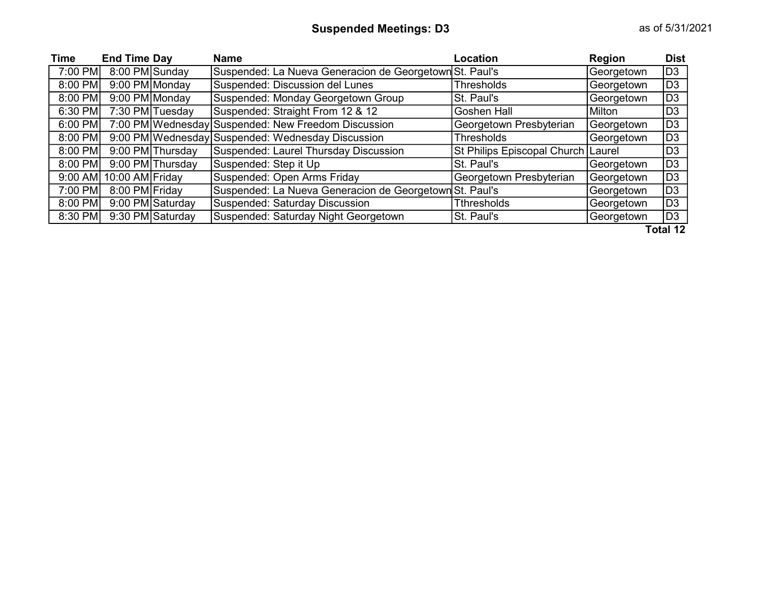| <b>Time</b> | <b>End Time Day</b> |                  | <b>Name</b>                                             | Location                             | Region     | <b>Dist</b>    |
|-------------|---------------------|------------------|---------------------------------------------------------|--------------------------------------|------------|----------------|
| 7:00 PM     | 8:00 PM Sunday      |                  | Suspended: La Nueva Generacion de Georgetown St. Paul's |                                      | Georgetown | D <sub>3</sub> |
| 8:00 PM     | 9:00 PM Monday      |                  | Suspended: Discussion del Lunes                         | <b>Thresholds</b>                    | Georgetown | D <sub>3</sub> |
| 8:00 PM     | 9:00 PM Monday      |                  | Suspended: Monday Georgetown Group                      | St. Paul's                           | Georgetown | D <sub>3</sub> |
| 6:30 PM     |                     | 7:30 PM Tuesday  | Suspended: Straight From 12 & 12                        | <b>Goshen Hall</b>                   | Milton     | D <sub>3</sub> |
| 6:00 PM     |                     |                  | 7:00 PM Wednesday Suspended: New Freedom Discussion     | Georgetown Presbyterian              | Georgetown | D <sub>3</sub> |
| 8:00 PM     |                     |                  | 9:00 PM Wednesday Suspended: Wednesday Discussion       | <b>Thresholds</b>                    | Georgetown | D <sub>3</sub> |
| 8:00 PM     |                     | 9:00 PM Thursday | Suspended: Laurel Thursday Discussion                   | St Philips Episcopal Church   Laurel |            | D <sub>3</sub> |
| 8:00 PM     |                     | 9:00 PM Thursday | Suspended: Step it Up                                   | St. Paul's                           | Georgetown | D <sub>3</sub> |
| 9:00 AM     | 10:00 AM Friday     |                  | Suspended: Open Arms Friday                             | Georgetown Presbyterian              | Georgetown | D <sub>3</sub> |
| 7:00 PM     | 8:00 PM Friday      |                  | Suspended: La Nueva Generacion de Georgetown St. Paul's |                                      | Georgetown | D <sub>3</sub> |
| 8:00 PM     |                     | 9:00 PM Saturday | Suspended: Saturday Discussion                          | <b>Tthresholds</b>                   | Georgetown | D <sub>3</sub> |
| 8:30 PM     |                     | 9:30 PM Saturday | Suspended: Saturday Night Georgetown                    | St. Paul's                           | Georgetown | D <sub>3</sub> |
|             |                     |                  |                                                         |                                      |            | Total 12       |